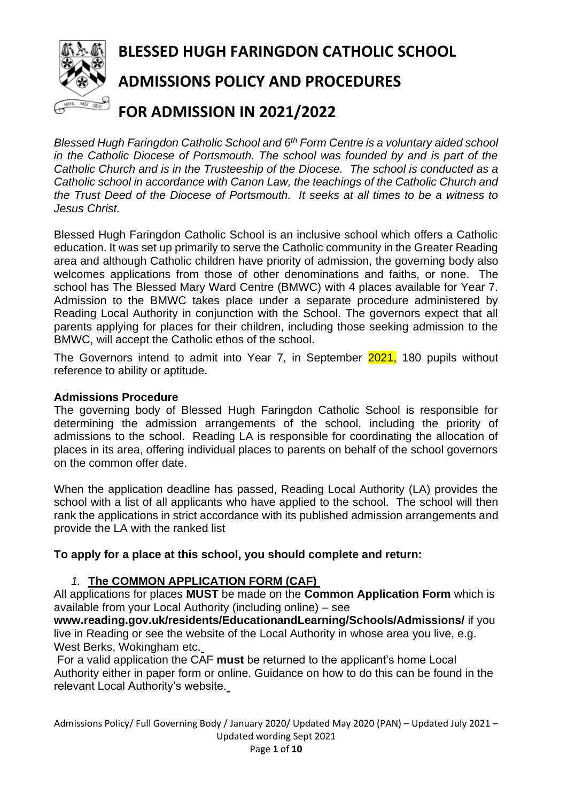

*Blessed Hugh Faringdon Catholic School and 6th Form Centre is a voluntary aided school in the Catholic Diocese of Portsmouth. The school was founded by and is part of the Catholic Church and is in the Trusteeship of the Diocese. The school is conducted as a Catholic school in accordance with Canon Law, the teachings of the Catholic Church and the Trust Deed of the Diocese of Portsmouth. It seeks at all times to be a witness to Jesus Christ.*

Blessed Hugh Faringdon Catholic School is an inclusive school which offers a Catholic education. It was set up primarily to serve the Catholic community in the Greater Reading area and although Catholic children have priority of admission, the governing body also welcomes applications from those of other denominations and faiths, or none. The school has The Blessed Mary Ward Centre (BMWC) with 4 places available for Year 7. Admission to the BMWC takes place under a separate procedure administered by Reading Local Authority in conjunction with the School. The governors expect that all parents applying for places for their children, including those seeking admission to the BMWC, will accept the Catholic ethos of the school.

The Governors intend to admit into Year 7, in September 2021, 180 pupils without reference to ability or aptitude.

### **Admissions Procedure**

The governing body of Blessed Hugh Faringdon Catholic School is responsible for determining the admission arrangements of the school, including the priority of admissions to the school. Reading LA is responsible for coordinating the allocation of places in its area, offering individual places to parents on behalf of the school governors on the common offer date.

When the application deadline has passed, Reading Local Authority (LA) provides the school with a list of all applicants who have applied to the school. The school will then rank the applications in strict accordance with its published admission arrangements and provide the LA with the ranked list

# **To apply for a place at this school, you should complete and return:**

# *1.* **The COMMON APPLICATION FORM (CAF)**

All applications for places **MUST** be made on the **Common Application Form** which is available from your Local Authority (including online) – see

**www.reading.gov.uk/residents/EducationandLearning/Schools/Admissions/** if you live in Reading or see the website of the Local Authority in whose area you live, e.g. West Berks, Wokingham etc.

For a valid application the CAF **must** be returned to the applicant's home Local Authority either in paper form or online. Guidance on how to do this can be found in the relevant Local Authority's website.

Admissions Policy/ Full Governing Body / January 2020/ Updated May 2020 (PAN) – Updated July 2021 – Updated wording Sept 2021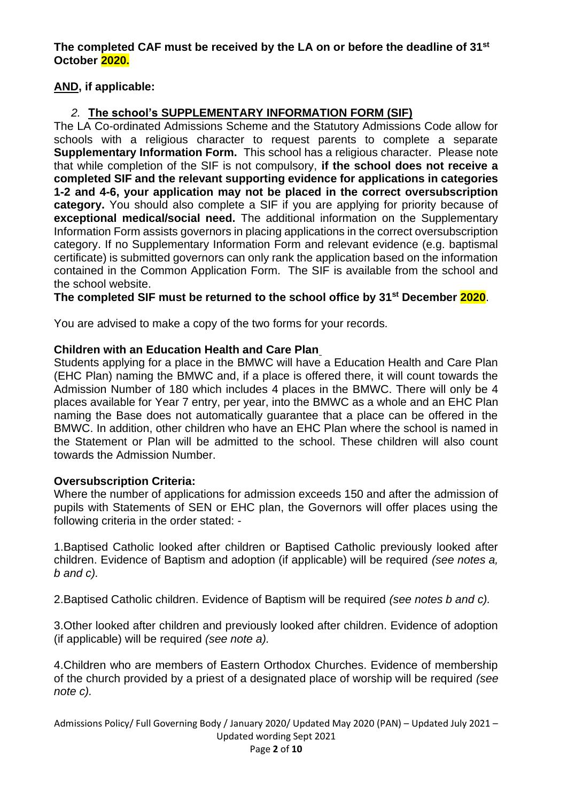**The completed CAF must be received by the LA on or before the deadline of 31st October 2020.**

# **AND, if applicable:**

# *2.* **The school's SUPPLEMENTARY INFORMATION FORM (SIF)**

The LA Co-ordinated Admissions Scheme and the Statutory Admissions Code allow for schools with a religious character to request parents to complete a separate **Supplementary Information Form.** This school has a religious character. Please note that while completion of the SIF is not compulsory, **if the school does not receive a completed SIF and the relevant supporting evidence for applications in categories 1-2 and 4-6, your application may not be placed in the correct oversubscription category.** You should also complete a SIF if you are applying for priority because of **exceptional medical/social need.** The additional information on the Supplementary Information Form assists governors in placing applications in the correct oversubscription category. If no Supplementary Information Form and relevant evidence (e.g. baptismal certificate) is submitted governors can only rank the application based on the information contained in the Common Application Form. The SIF is available from the school and the school website.

### **The completed SIF must be returned to the school office by 31st December 2020**.

You are advised to make a copy of the two forms for your records.

### **Children with an Education Health and Care Plan**

Students applying for a place in the BMWC will have a Education Health and Care Plan (EHC Plan) naming the BMWC and, if a place is offered there, it will count towards the Admission Number of 180 which includes 4 places in the BMWC. There will only be 4 places available for Year 7 entry, per year, into the BMWC as a whole and an EHC Plan naming the Base does not automatically guarantee that a place can be offered in the BMWC. In addition, other children who have an EHC Plan where the school is named in the Statement or Plan will be admitted to the school. These children will also count towards the Admission Number.

### **Oversubscription Criteria:**

Where the number of applications for admission exceeds 150 and after the admission of pupils with Statements of SEN or EHC plan, the Governors will offer places using the following criteria in the order stated: -

1.Baptised Catholic looked after children or Baptised Catholic previously looked after children. Evidence of Baptism and adoption (if applicable) will be required *(see notes a, b and c).*

2.Baptised Catholic children. Evidence of Baptism will be required *(see notes b and c).*

3.Other looked after children and previously looked after children. Evidence of adoption (if applicable) will be required *(see note a).*

4.Children who are members of Eastern Orthodox Churches. Evidence of membership of the church provided by a priest of a designated place of worship will be required *(see note c).*

Admissions Policy/ Full Governing Body / January 2020/ Updated May 2020 (PAN) – Updated July 2021 – Updated wording Sept 2021 Page **2** of **10**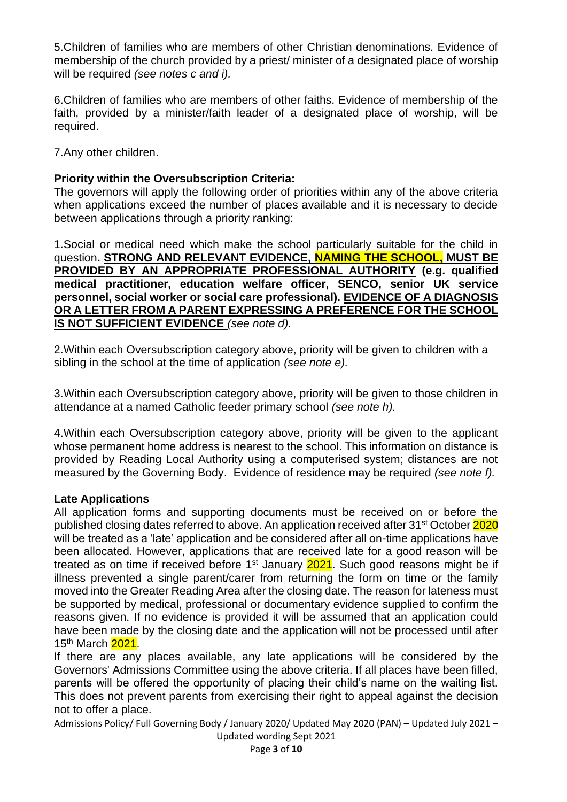5.Children of families who are members of other Christian denominations. Evidence of membership of the church provided by a priest/ minister of a designated place of worship will be required *(see notes c and i).*

6.Children of families who are members of other faiths. Evidence of membership of the faith, provided by a minister/faith leader of a designated place of worship, will be required.

7.Any other children.

# **Priority within the Oversubscription Criteria:**

The governors will apply the following order of priorities within any of the above criteria when applications exceed the number of places available and it is necessary to decide between applications through a priority ranking:

1.Social or medical need which make the school particularly suitable for the child in question**. STRONG AND RELEVANT EVIDENCE, NAMING THE SCHOOL, MUST BE PROVIDED BY AN APPROPRIATE PROFESSIONAL AUTHORITY (e.g. qualified medical practitioner, education welfare officer, SENCO, senior UK service personnel, social worker or social care professional). EVIDENCE OF A DIAGNOSIS OR A LETTER FROM A PARENT EXPRESSING A PREFERENCE FOR THE SCHOOL IS NOT SUFFICIENT EVIDENCE** *(see note d).*

2.Within each Oversubscription category above, priority will be given to children with a sibling in the school at the time of application *(see note e).*

3.Within each Oversubscription category above, priority will be given to those children in attendance at a named Catholic feeder primary school *(see note h).*

4.Within each Oversubscription category above, priority will be given to the applicant whose permanent home address is nearest to the school. This information on distance is provided by Reading Local Authority using a computerised system; distances are not measured by the Governing Body. Evidence of residence may be required *(see note f).*

### **Late Applications**

All application forms and supporting documents must be received on or before the published closing dates referred to above. An application received after 31<sup>st</sup> October 2020 will be treated as a 'late' application and be considered after all on-time applications have been allocated. However, applications that are received late for a good reason will be treated as on time if received before  $1<sup>st</sup>$  January  $2021$ . Such good reasons might be if illness prevented a single parent/carer from returning the form on time or the family moved into the Greater Reading Area after the closing date. The reason for lateness must be supported by medical, professional or documentary evidence supplied to confirm the reasons given. If no evidence is provided it will be assumed that an application could have been made by the closing date and the application will not be processed until after 15<sup>th</sup> March 2021.

If there are any places available, any late applications will be considered by the Governors' Admissions Committee using the above criteria. If all places have been filled, parents will be offered the opportunity of placing their child's name on the waiting list. This does not prevent parents from exercising their right to appeal against the decision not to offer a place.

Admissions Policy/ Full Governing Body / January 2020/ Updated May 2020 (PAN) – Updated July 2021 –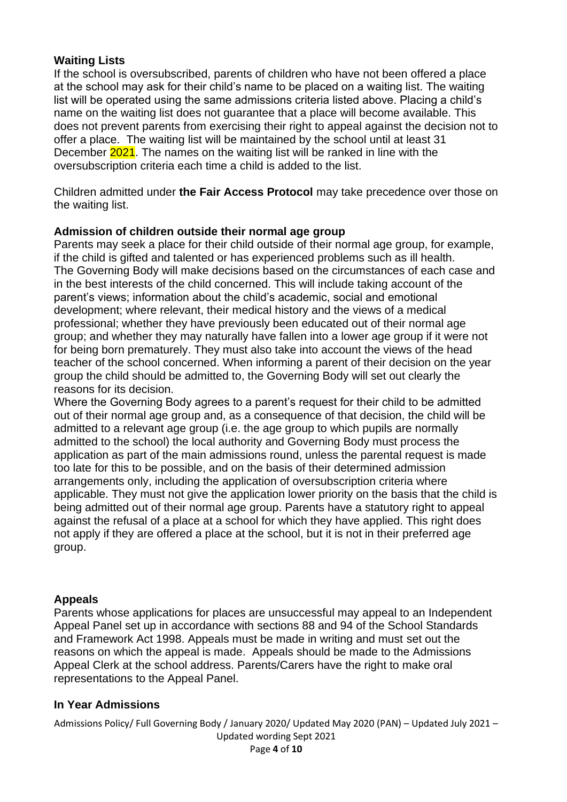# **Waiting Lists**

If the school is oversubscribed, parents of children who have not been offered a place at the school may ask for their child's name to be placed on a waiting list. The waiting list will be operated using the same admissions criteria listed above. Placing a child's name on the waiting list does not guarantee that a place will become available. This does not prevent parents from exercising their right to appeal against the decision not to offer a place. The waiting list will be maintained by the school until at least 31 December 2021. The names on the waiting list will be ranked in line with the oversubscription criteria each time a child is added to the list.

Children admitted under **the Fair Access Protocol** may take precedence over those on the waiting list.

### **Admission of children outside their normal age group**

Parents may seek a place for their child outside of their normal age group, for example, if the child is gifted and talented or has experienced problems such as ill health. The Governing Body will make decisions based on the circumstances of each case and in the best interests of the child concerned. This will include taking account of the parent's views; information about the child's academic, social and emotional development; where relevant, their medical history and the views of a medical professional; whether they have previously been educated out of their normal age group; and whether they may naturally have fallen into a lower age group if it were not for being born prematurely. They must also take into account the views of the head teacher of the school concerned. When informing a parent of their decision on the year group the child should be admitted to, the Governing Body will set out clearly the reasons for its decision.

Where the Governing Body agrees to a parent's request for their child to be admitted out of their normal age group and, as a consequence of that decision, the child will be admitted to a relevant age group (i.e. the age group to which pupils are normally admitted to the school) the local authority and Governing Body must process the application as part of the main admissions round, unless the parental request is made too late for this to be possible, and on the basis of their determined admission arrangements only, including the application of oversubscription criteria where applicable. They must not give the application lower priority on the basis that the child is being admitted out of their normal age group. Parents have a statutory right to appeal against the refusal of a place at a school for which they have applied. This right does not apply if they are offered a place at the school, but it is not in their preferred age group.

### **Appeals**

Parents whose applications for places are unsuccessful may appeal to an Independent Appeal Panel set up in accordance with sections 88 and 94 of the School Standards and Framework Act 1998. Appeals must be made in writing and must set out the reasons on which the appeal is made. Appeals should be made to the Admissions Appeal Clerk at the school address. Parents/Carers have the right to make oral representations to the Appeal Panel.

### **In Year Admissions**

Admissions Policy/ Full Governing Body / January 2020/ Updated May 2020 (PAN) – Updated July 2021 –

Updated wording Sept 2021 Page **4** of **10**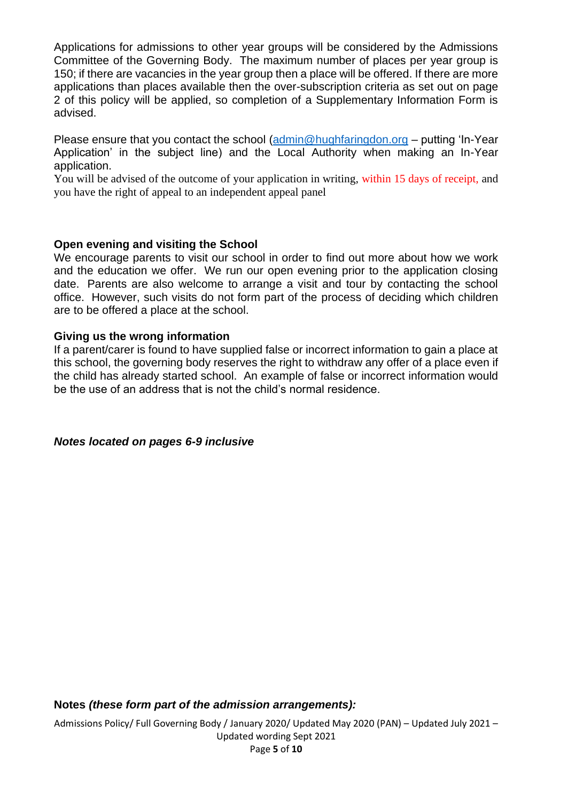Applications for admissions to other year groups will be considered by the Admissions Committee of the Governing Body. The maximum number of places per year group is 150; if there are vacancies in the year group then a place will be offered. If there are more applications than places available then the over-subscription criteria as set out on page 2 of this policy will be applied, so completion of a Supplementary Information Form is advised.

Please ensure that you contact the school [\(admin@hughfaringdon.org](mailto:admin@hughfaringdon.org) – putting 'In-Year Application' in the subject line) and the Local Authority when making an In-Year application.

You will be advised of the outcome of your application in writing, within 15 days of receipt, and you have the right of appeal to an independent appeal panel

### **Open evening and visiting the School**

We encourage parents to visit our school in order to find out more about how we work and the education we offer. We run our open evening prior to the application closing date. Parents are also welcome to arrange a visit and tour by contacting the school office. However, such visits do not form part of the process of deciding which children are to be offered a place at the school.

### **Giving us the wrong information**

If a parent/carer is found to have supplied false or incorrect information to gain a place at this school, the governing body reserves the right to withdraw any offer of a place even if the child has already started school. An example of false or incorrect information would be the use of an address that is not the child's normal residence.

*Notes located on pages 6-9 inclusive*

**Notes** *(these form part of the admission arrangements):*

Admissions Policy/ Full Governing Body / January 2020/ Updated May 2020 (PAN) – Updated July 2021 –

Updated wording Sept 2021 Page **5** of **10**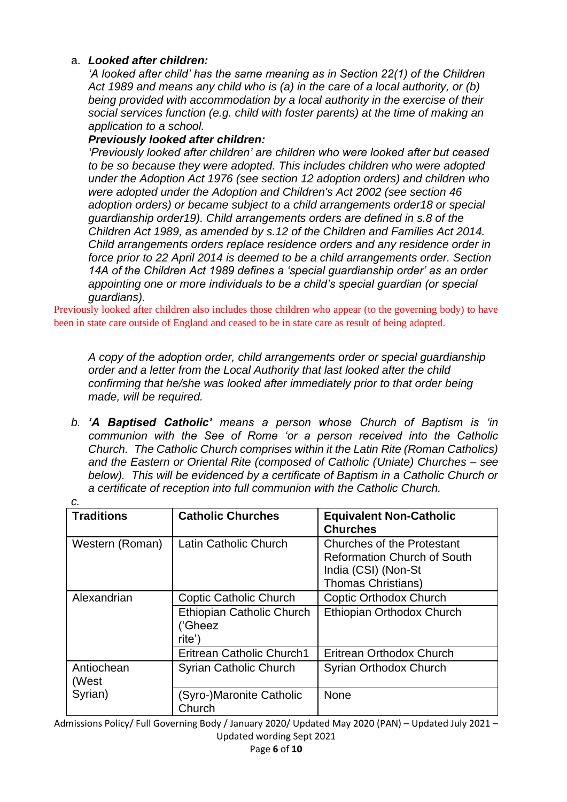### a. *Looked after children:*

*'A looked after child' has the same meaning as in Section 22(1) of the Children Act 1989 and means any child who is (a) in the care of a local authority, or (b) being provided with accommodation by a local authority in the exercise of their social services function (e.g. child with foster parents) at the time of making an application to a school.*

### *Previously looked after children:*

*'Previously looked after children' are children who were looked after but ceased to be so because they were adopted. This includes children who were adopted under the Adoption Act 1976 (see section 12 adoption orders) and children who were adopted under the Adoption and Children's Act 2002 (see section 46 adoption orders) or became subject to a child arrangements order18 or special guardianship order19). Child arrangements orders are defined in s.8 of the Children Act 1989, as amended by s.12 of the Children and Families Act 2014. Child arrangements orders replace residence orders and any residence order in force prior to 22 April 2014 is deemed to be a child arrangements order. Section 14A of the Children Act 1989 defines a 'special guardianship order' as an order appointing one or more individuals to be a child's special guardian (or special guardians).*

Previously looked after children also includes those children who appear (to the governing body) to have been in state care outside of England and ceased to be in state care as result of being adopted.

*A copy of the adoption order, child arrangements order or special guardianship order and a letter from the Local Authority that last looked after the child confirming that he/she was looked after immediately prior to that order being made, will be required.*

*b. 'A Baptised Catholic' means a person whose Church of Baptism is 'in communion with the See of Rome 'or a person received into the Catholic Church. The Catholic Church comprises within it the Latin Rite (Roman Catholics) and the Eastern or Oriental Rite (composed of Catholic (Uniate) Churches – see below). This will be evidenced by a certificate of Baptism in a Catholic Church or a certificate of reception into full communion with the Catholic Church.*

| с.                  |                                                |                                                                                                                      |  |
|---------------------|------------------------------------------------|----------------------------------------------------------------------------------------------------------------------|--|
| <b>Traditions</b>   | <b>Catholic Churches</b>                       | <b>Equivalent Non-Catholic</b><br><b>Churches</b>                                                                    |  |
| Western (Roman)     | Latin Catholic Church                          | Churches of the Protestant<br><b>Reformation Church of South</b><br>India (CSI) (Non-St<br><b>Thomas Christians)</b> |  |
| Alexandrian         | <b>Coptic Catholic Church</b>                  | <b>Coptic Orthodox Church</b>                                                                                        |  |
|                     | Ethiopian Catholic Church<br>('Gheez<br>rite') | Ethiopian Orthodox Church                                                                                            |  |
|                     | Eritrean Catholic Church1                      | Eritrean Orthodox Church                                                                                             |  |
| Antiochean<br>(West | <b>Syrian Catholic Church</b>                  | Syrian Orthodox Church                                                                                               |  |
| Syrian)             | (Syro-)Maronite Catholic<br>Church             | <b>None</b>                                                                                                          |  |

Admissions Policy/ Full Governing Body / January 2020/ Updated May 2020 (PAN) – Updated July 2021 – Updated wording Sept 2021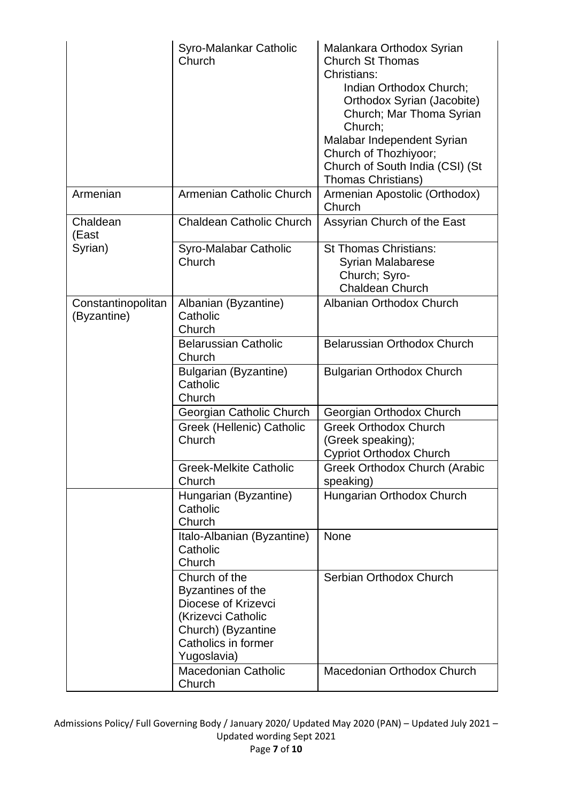|                                   | Syro-Malankar Catholic<br>Church                                                                                                            | Malankara Orthodox Syrian<br><b>Church St Thomas</b><br>Christians:<br>Indian Orthodox Church;<br>Orthodox Syrian (Jacobite)<br>Church; Mar Thoma Syrian<br>Church;<br>Malabar Independent Syrian<br>Church of Thozhiyoor;<br>Church of South India (CSI) (St<br><b>Thomas Christians)</b> |
|-----------------------------------|---------------------------------------------------------------------------------------------------------------------------------------------|--------------------------------------------------------------------------------------------------------------------------------------------------------------------------------------------------------------------------------------------------------------------------------------------|
| Armenian                          | Armenian Catholic Church                                                                                                                    | Armenian Apostolic (Orthodox)<br>Church                                                                                                                                                                                                                                                    |
| Chaldean<br>(East                 | <b>Chaldean Catholic Church</b>                                                                                                             | Assyrian Church of the East                                                                                                                                                                                                                                                                |
| Syrian)                           | Syro-Malabar Catholic<br>Church                                                                                                             | <b>St Thomas Christians:</b><br><b>Syrian Malabarese</b><br>Church; Syro-<br><b>Chaldean Church</b>                                                                                                                                                                                        |
| Constantinopolitan<br>(Byzantine) | Albanian (Byzantine)<br>Catholic<br>Church                                                                                                  | Albanian Orthodox Church                                                                                                                                                                                                                                                                   |
|                                   | <b>Belarussian Catholic</b><br>Church                                                                                                       | Belarussian Orthodox Church                                                                                                                                                                                                                                                                |
|                                   | <b>Bulgarian (Byzantine)</b><br>Catholic<br>Church                                                                                          | <b>Bulgarian Orthodox Church</b>                                                                                                                                                                                                                                                           |
|                                   | Georgian Catholic Church                                                                                                                    | Georgian Orthodox Church                                                                                                                                                                                                                                                                   |
|                                   | Greek (Hellenic) Catholic<br>Church                                                                                                         | <b>Greek Orthodox Church</b><br>(Greek speaking);<br><b>Cypriot Orthodox Church</b>                                                                                                                                                                                                        |
|                                   | <b>Greek-Melkite Catholic</b><br>Church                                                                                                     | <b>Greek Orthodox Church (Arabic</b><br>speaking)                                                                                                                                                                                                                                          |
|                                   | Hungarian (Byzantine)<br>Catholic<br>Church                                                                                                 | Hungarian Orthodox Church                                                                                                                                                                                                                                                                  |
|                                   | Italo-Albanian (Byzantine)<br>Catholic<br>Church                                                                                            | <b>None</b>                                                                                                                                                                                                                                                                                |
|                                   | Church of the<br>Byzantines of the<br>Diocese of Krizevci<br>(Krizevci Catholic<br>Church) (Byzantine<br>Catholics in former<br>Yugoslavia) | Serbian Orthodox Church                                                                                                                                                                                                                                                                    |
|                                   | <b>Macedonian Catholic</b><br>Church                                                                                                        | Macedonian Orthodox Church                                                                                                                                                                                                                                                                 |

Admissions Policy/ Full Governing Body / January 2020/ Updated May 2020 (PAN) – Updated July 2021 – Updated wording Sept 2021 Page **7** of **10**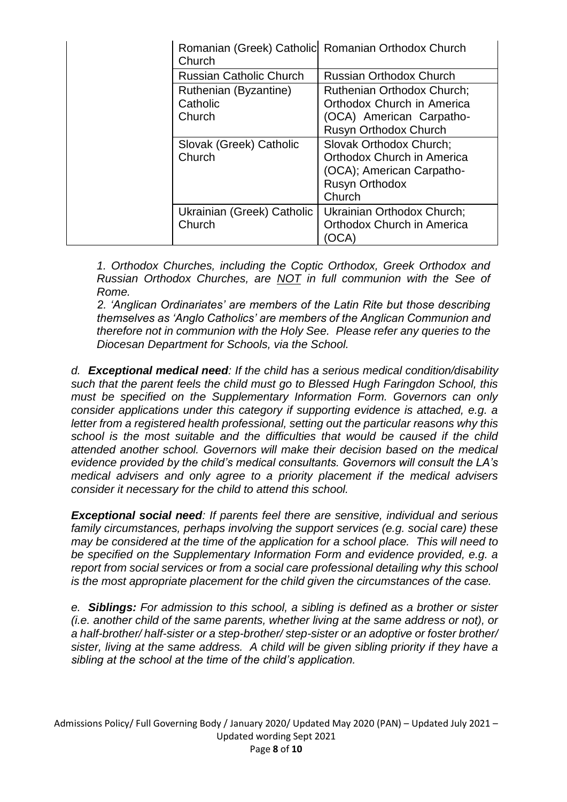| Church                         | Romanian (Greek) Catholic Romanian Orthodox Church |
|--------------------------------|----------------------------------------------------|
| <b>Russian Catholic Church</b> | <b>Russian Orthodox Church</b>                     |
| Ruthenian (Byzantine)          | <b>Ruthenian Orthodox Church:</b>                  |
| Catholic                       | Orthodox Church in America                         |
| Church                         | (OCA) American Carpatho-                           |
|                                | Rusyn Orthodox Church                              |
| Slovak (Greek) Catholic        | Slovak Orthodox Church;                            |
| Church                         | Orthodox Church in America                         |
|                                | (OCA); American Carpatho-                          |
|                                | <b>Rusyn Orthodox</b>                              |
|                                | Church                                             |
| Ukrainian (Greek) Catholic     | Ukrainian Orthodox Church;                         |
| Church                         | Orthodox Church in America                         |
|                                |                                                    |

*1. Orthodox Churches, including the Coptic Orthodox, Greek Orthodox and Russian Orthodox Churches, are NOT in full communion with the See of Rome.* 

*2. 'Anglican Ordinariates' are members of the Latin Rite but those describing themselves as 'Anglo Catholics' are members of the Anglican Communion and therefore not in communion with the Holy See. Please refer any queries to the Diocesan Department for Schools, via the School.*

*d. Exceptional medical need: If the child has a serious medical condition/disability such that the parent feels the child must go to Blessed Hugh Faringdon School, this must be specified on the Supplementary Information Form. Governors can only consider applications under this category if supporting evidence is attached, e.g. a letter from a registered health professional, setting out the particular reasons why this school is the most suitable and the difficulties that would be caused if the child attended another school. Governors will make their decision based on the medical evidence provided by the child's medical consultants. Governors will consult the LA's medical advisers and only agree to a priority placement if the medical advisers consider it necessary for the child to attend this school.*

*Exceptional social need: If parents feel there are sensitive, individual and serious family circumstances, perhaps involving the support services (e.g. social care) these may be considered at the time of the application for a school place. This will need to be specified on the Supplementary Information Form and evidence provided, e.g. a report from social services or from a social care professional detailing why this school is the most appropriate placement for the child given the circumstances of the case.*

*e. Siblings: For admission to this school, a sibling is defined as a brother or sister (i.e. another child of the same parents, whether living at the same address or not), or a half-brother/ half-sister or a step-brother/ step-sister or an adoptive or foster brother/ sister, living at the same address. A child will be given sibling priority if they have a sibling at the school at the time of the child's application.*

Admissions Policy/ Full Governing Body / January 2020/ Updated May 2020 (PAN) – Updated July 2021 – Updated wording Sept 2021 Page **8** of **10**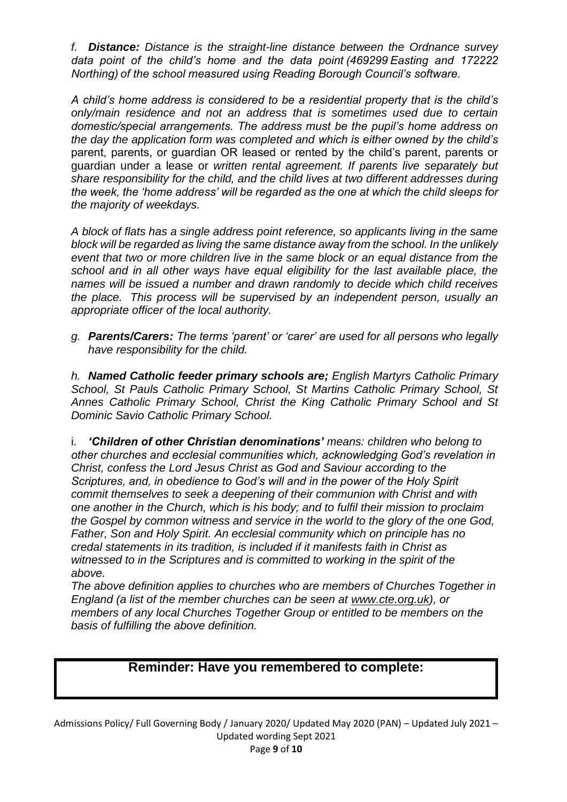*f. Distance: Distance is the straight-line distance between the Ordnance survey data point of the child's home and the data point (469299 Easting and 172222 Northing) of the school measured using Reading Borough Council's software.*

*A child's home address is considered to be a residential property that is the child's only/main residence and not an address that is sometimes used due to certain domestic/special arrangements. The address must be the pupil's home address on the day the application form was completed and which is either owned by the child's*  parent, parents, or guardian OR leased or rented by the child's parent, parents or guardian under a lease or *written rental agreement. If parents live separately but share responsibility for the child, and the child lives at two different addresses during the week, the 'home address' will be regarded as the one at which the child sleeps for the majority of weekdays.* 

*A block of flats has a single address point reference, so applicants living in the same block will be regarded as living the same distance away from the school. In the unlikely event that two or more children live in the same block or an equal distance from the school and in all other ways have equal eligibility for the last available place, the names will be issued a number and drawn randomly to decide which child receives the place. This process will be supervised by an independent person, usually an appropriate officer of the local authority.*

*g. Parents/Carers: The terms 'parent' or 'carer' are used for all persons who legally have responsibility for the child.*

*h. Named Catholic feeder primary schools are; English Martyrs Catholic Primary School, St Pauls Catholic Primary School, St Martins Catholic Primary School, St Annes Catholic Primary School, Christ the King Catholic Primary School and St Dominic Savio Catholic Primary School.*

i. *'Children of other Christian denominations' means: children who belong to other churches and ecclesial communities which, acknowledging God's revelation in Christ, confess the Lord Jesus Christ as God and Saviour according to the Scriptures, and, in obedience to God's will and in the power of the Holy Spirit commit themselves to seek a deepening of their communion with Christ and with one another in the Church, which is his body; and to fulfil their mission to proclaim the Gospel by common witness and service in the world to the glory of the one God, Father, Son and Holy Spirit. An ecclesial community which on principle has no credal statements in its tradition, is included if it manifests faith in Christ as witnessed to in the Scriptures and is committed to working in the spirit of the above.*

*The above definition applies to churches who are members of Churches Together in England (a list of the member churches can be seen at [www.cte.org.uk\)](http://www.cte.org.uk/), or members of any local Churches Together Group or entitled to be members on the basis of fulfilling the above definition.*

# **Reminder: Have you remembered to complete:**

Admissions Policy/ Full Governing Body / January 2020/ Updated May 2020 (PAN) – Updated July 2021 – Updated wording Sept 2021 Page **9** of **10**